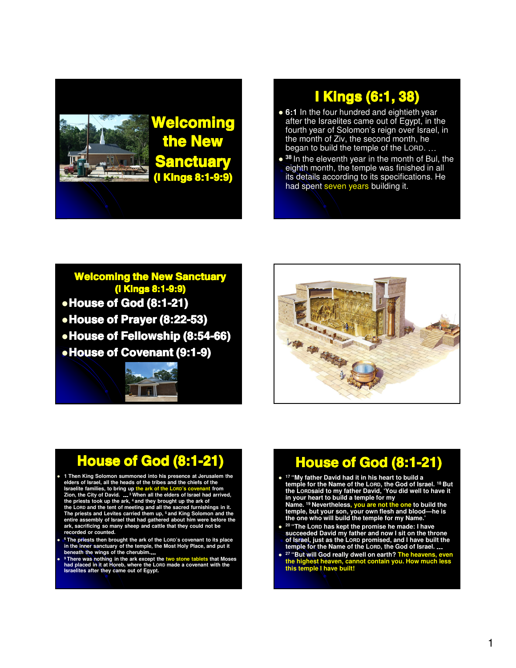

# I Kings (6:1, 38)

- 6:1 In the four hundred and eightieth year after the Israelites came out of Egypt, in the fourth year of Solomon's reign over Israel, in the month of Ziv, the second month, he began to build the temple of the LORD. …
- **<sup>38</sup>** In the eleventh year in the month of Bul, the eighth month, the temple was finished in all its details according to its specifications. He had spent seven years building it.

Welcoming the New Sanctuary (I Kings 8:1-9:9) • House of God (8:1-21) • House of Prayer (8:22-53) • House of Fellowship (8:54-66) **• House of Covenant (9:1-9)** 





## **House of God (8:1-21)**

- **1 Then King Solomon summoned into his presence at Jerusalem the**  elders of Israel, all the heads of the tribes and the chiefs of the<br>Israelite families, to bring up the ark of the LORD's covenant from<br>Zion, the City of David. ... <sup>3</sup> When all the elders of Israel had arrived,<br>the pries **entire assembly of Israel that had gathered about him were before the ark, sacrificing so many sheep and cattle that they could not be recorded or counted.**
- $\bullet$ **<sup>6</sup> The priests then brought the ark of the LORD's covenant to its place in the inner sanctuary of the temple, the Most Holy Place, and put it beneath the wings of the cherubim.**…
- $\bullet$ <sup>9</sup> There was nothing in the ark except the two stone tablets that Moses<br>had placed in it at Horeb, where the Lonp made a covenant with the<br>Israelites after they came out of Egypt.

## **House of God (8:1-21)**

- **<sup>17</sup> "My father David had it in his heart to build a temple for the Name of the LORD, the God of Israel. <sup>18</sup> But the LORDsaid to my father David, 'You did well to have it in your heart to build a temple for my Name. <sup>19</sup> Nevertheless, you are not the one to build the**
- **temple, but your son, your own flesh and blood—he is the one who will build the temple for my Name.'**
- $\bullet$ **<sup>20</sup> "The LORD has kept the promise he made: I have succeeded David my father and now I sit on the throne of Israel, just as the LORD promised, and I have built the temple for the Name of the LORD, the God of Israel.** …
- $\bullet$ **<sup>27</sup> "But will God really dwell on earth? The heavens, even the highest heaven, cannot contain you. How much less this temple I have built!**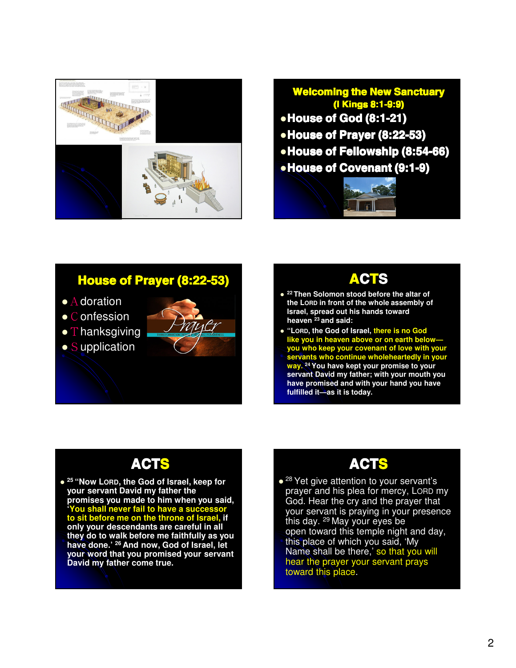



#### House of Prayer (8:22-53)

- $\bullet$  A doration
- C onfession
- $\bullet$  T hanksgiving
- $\bullet$  Supplication





- **<sup>22</sup> Then Solomon stood before the altar of the LORD in front of the whole assembly of Israel, spread out his hands toward heaven <sup>23</sup> and said:**
- **"LORD, the God of Israel, there is no God like you in heaven above or on earth below you who keep your covenant of love with your servants who continue wholeheartedly in your way. <sup>24</sup> You have kept your promise to your servant David my father; with your mouth you have promised and with your hand you have fulfilled it—as it is today.**

## ACTS

- **<sup>25</sup> "Now LORD, the God of Israel, keep for your servant David my father the promises you made to him when you said, 'You shall never fail to have a successor to sit before me on the throne of Israel, if only your descendants are careful in all**
- **they do to walk before me faithfully as you have done.' <sup>26</sup> And now, God of Israel, let your word that you promised your servant David my father come true.**

## ACTS

• <sup>28</sup> Yet give attention to your servant's prayer and his plea for mercy, LORD my God. Hear the cry and the prayer that your servant is praying in your presence this day. <sup>29</sup> May your eyes be open toward this temple night and day, this place of which you said, 'My Name shall be there,' so that you will hear the prayer your servant prays toward this place.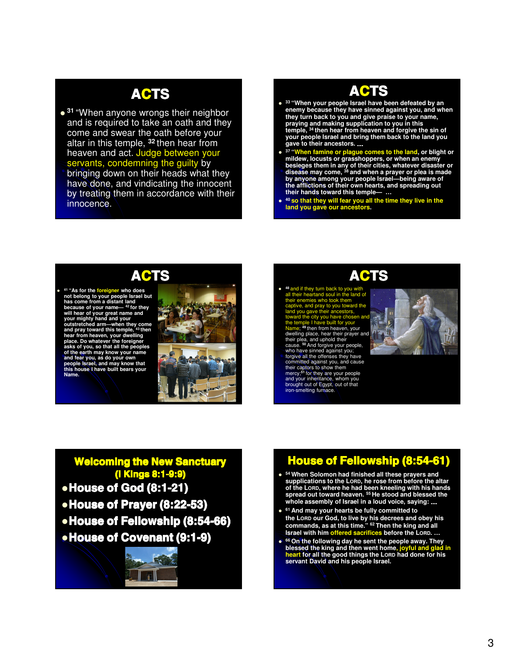## ACTS

- **<sup>31</sup>** "When anyone wrongs their neighbor and is required to take an oath and they come and swear the oath before your altar in this temple, **<sup>32</sup>** then hear from heaven and act. Judge between your servants, condemning the guilty by
- bringing down on their heads what they have done, and vindicating the innocent by treating them in accordance with their innocence.

#### ACTS

- **<sup>33</sup> "When your people Israel have been defeated by an enemy because they have sinned against you, and when they turn back to you and give praise to your name, praying and making supplication to you in this temple, <sup>34</sup> then hear from heaven and forgive the sin of your people Israel and bring them back to the land you gave to their ancestors.** …
- $\bullet$ **<sup>37</sup> "When famine or plague comes to the land, or blight or mildew, locusts or grasshoppers, or when an enemy besieges them in any of their cities, whatever disaster or disease may come, <sup>38</sup> and when a prayer or plea is made by anyone among your people Israel—being aware of the afflictions of their own hearts, and spreading out their hands toward this temple— …**
- $\bullet$ **<sup>40</sup> so that they will fear you all the time they live in the land you gave our ancestors.**



 $\bullet$ **<sup>41</sup> "As for the foreigner who does not belong to your people Israel but**  has come from a distant land<br>because of your name—<sup>42</sup> for they<br>will hear of your great name and<br>your mighty hand and your<br>outstretched arm—when they come<br>and pray toward this temple, <sup>43</sup> then **hear from heaven, your dwelling**  place. Do whatever the foreigner<br>asks of you, so that all the peoples<br>of the earth may know your name<br>and fear you, as do your own<br>people Israel, and may know that<br>this house I have built bears your<br>Name.



#### **ACTS**

- $\bullet$ **<sup>48</sup>** and if they turn back to you with all their heartand soul in the land of their enemies who took them .<br>ard the land you gave their ancestors, toward the city you have chosen and the temple I have built for your<br>Name; <sup>49</sup> then from heaven, your<br>dwelling place, hear their prayer and their plea, and uphold their cause. **<sup>50</sup>** And forgive your people,
- who have sinned against you; forgive all the offenses they have committed against you, and cause<br>their captors to show them<br>mercy;<sup>51</sup> for they are your people<br>and your inheritance, whom you<br>brought out of Egypt, out of that iron-smelting furnace.



#### Welcoming the New Sanctuary (I Kings 8:1-9:9)

- House of God (8:1-21)
- House of Prayer (8:22-53)
- House of Fellowship (8:54-66)
- **House of Covenant (9:1-9)**



## House of Fellowship (8:54-61)

- **<sup>54</sup> When Solomon had finished all these prayers and supplications to the LORD, he rose from before the altar of the LORD, where he had been kneeling with his hands spread out toward heaven. <sup>55</sup> He stood and blessed the whole assembly of Israel in a loud voice, saying:** …
- **<sup>61</sup> And may your hearts be fully committed to the LORD our God, to live by his decrees and obey his commands, as at this time." <sup>62</sup> Then the king and all Israel with him offered sacrifices before the LORD. …**
- $\bullet$ **<sup>66</sup> On the following day he sent the people away. They blessed the king and then went home, joyful and glad in heart for all the good things the LORD had done for his servant David and his people Israel.**